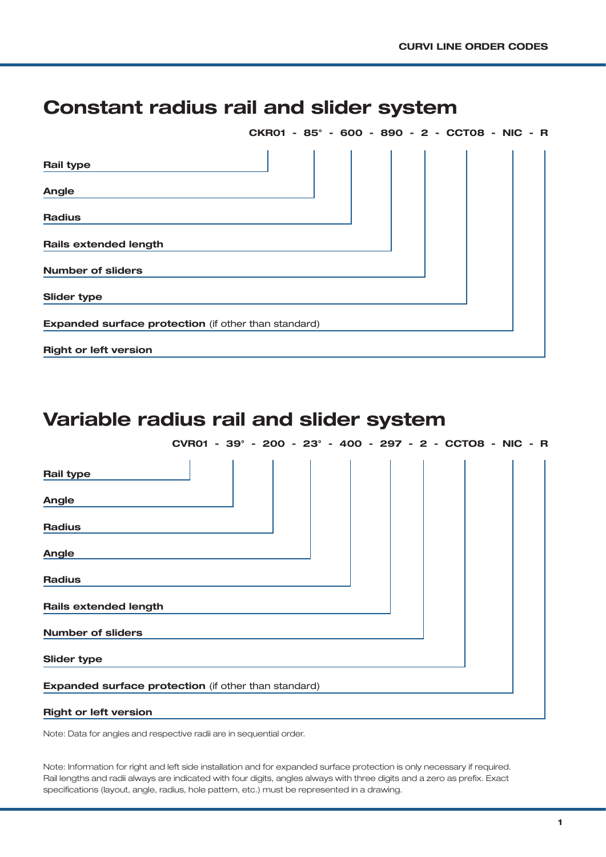## Constant radius rail and slider system

|                                                             |  |  |  | CKR01 - 85° - 600 - 890 - 2 - CCT08 - NIC - R |
|-------------------------------------------------------------|--|--|--|-----------------------------------------------|
| Rail type                                                   |  |  |  |                                               |
| Angle                                                       |  |  |  |                                               |
| <b>Radius</b>                                               |  |  |  |                                               |
| <b>Rails extended length</b>                                |  |  |  |                                               |
| <b>Number of sliders</b>                                    |  |  |  |                                               |
| <b>Slider type</b>                                          |  |  |  |                                               |
| <b>Expanded surface protection</b> (if other than standard) |  |  |  |                                               |
| <b>Right or left version</b>                                |  |  |  |                                               |

# Variable radius rail and slider system

| CVR01 - 39° - 200 - 23° - 400 - 297 - 2 - CCTO8 - NIC - R |  |  |  |  |  |  |  |  |  |  |  |  |  |  |  |  |  |  |
|-----------------------------------------------------------|--|--|--|--|--|--|--|--|--|--|--|--|--|--|--|--|--|--|
|-----------------------------------------------------------|--|--|--|--|--|--|--|--|--|--|--|--|--|--|--|--|--|--|

| Rail type                                            |  |  |  |  |  |  |  |  |  |
|------------------------------------------------------|--|--|--|--|--|--|--|--|--|
| Angle                                                |  |  |  |  |  |  |  |  |  |
| <b>Radius</b>                                        |  |  |  |  |  |  |  |  |  |
| <b>Angle</b>                                         |  |  |  |  |  |  |  |  |  |
| <b>Radius</b>                                        |  |  |  |  |  |  |  |  |  |
| <b>Rails extended length</b>                         |  |  |  |  |  |  |  |  |  |
| <b>Number of sliders</b>                             |  |  |  |  |  |  |  |  |  |
| <b>Slider type</b>                                   |  |  |  |  |  |  |  |  |  |
| Expanded surface protection (if other than standard) |  |  |  |  |  |  |  |  |  |
| <b>Right or left version</b>                         |  |  |  |  |  |  |  |  |  |

Note: Data for angles and respective radii are in sequential order.

Note: Information for right and left side installation and for expanded surface protection is only necessary if required. Rail lengths and radii always are indicated with four digits, angles always with three digits and a zero as prefix. Exact specifications (layout, angle, radius, hole pattern, etc.) must be represented in a drawing.